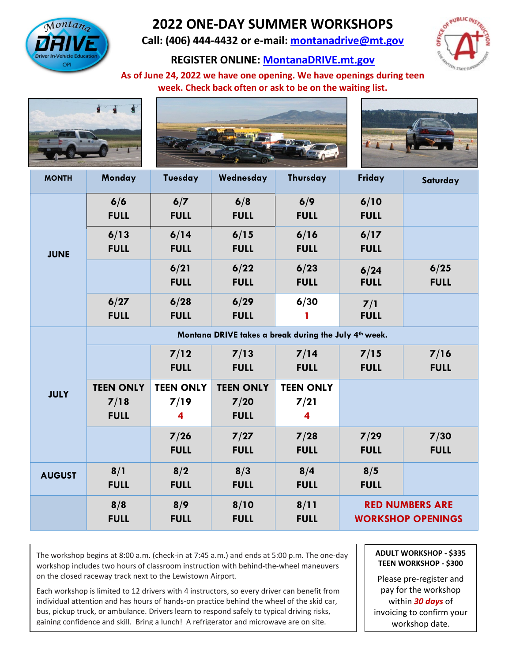

## **2022 ONE-DAY SUMMER WORKSHOPS**

**Call: (406) 444-4432 or e-mail: [montanadrive@mt.gov](mailto:montanadrive@mt.gov)**

**REGISTER ONLINE: [MontanaDRIVE.mt.gov](http://montanadrive.mt.gov/)**



**As of June 24, 2022 we have one opening. We have openings during teen week. Check back often or ask to be on the waiting list.**







| <b>MONTH</b>  | Monday                                                | Tuesday                 | Wednesday        | Thursday                | Friday                                             | Saturday    |
|---------------|-------------------------------------------------------|-------------------------|------------------|-------------------------|----------------------------------------------------|-------------|
| <b>JUNE</b>   | 6/6                                                   | 6/7                     | 6/8              | 6/9                     | 6/10                                               |             |
|               | <b>FULL</b>                                           | <b>FULL</b>             | <b>FULL</b>      | <b>FULL</b>             | <b>FULL</b>                                        |             |
|               | 6/13                                                  | 6/14                    | 6/15             | 6/16                    | 6/17                                               |             |
|               | <b>FULL</b>                                           | <b>FULL</b>             | <b>FULL</b>      | <b>FULL</b>             | <b>FULL</b>                                        |             |
|               |                                                       | 6/21                    | 6/22             | 6/23                    | 6/24                                               | 6/25        |
|               |                                                       | <b>FULL</b>             | <b>FULL</b>      | <b>FULL</b>             | <b>FULL</b>                                        | <b>FULL</b> |
|               | 6/27                                                  | 6/28                    | 6/29             | 6/30                    | 7/1                                                |             |
|               | <b>FULL</b>                                           | <b>FULL</b>             | <b>FULL</b>      | 1                       | <b>FULL</b>                                        |             |
| <b>JULY</b>   | Montana DRIVE takes a break during the July 4th week. |                         |                  |                         |                                                    |             |
|               |                                                       | 7/12                    | 7/13             | 7/14                    | 7/15                                               | 7/16        |
|               |                                                       | <b>FULL</b>             | <b>FULL</b>      | <b>FULL</b>             | <b>FULL</b>                                        | <b>FULL</b> |
|               | <b>TEEN ONLY</b>                                      | <b>TEEN ONLY</b>        | <b>TEEN ONLY</b> | <b>TEEN ONLY</b>        |                                                    |             |
|               | 7/18                                                  | 7/19                    | 7/20             | 7/21                    |                                                    |             |
|               | <b>FULL</b>                                           | $\overline{\mathbf{4}}$ | <b>FULL</b>      | $\overline{\mathbf{4}}$ |                                                    |             |
|               |                                                       | 7/26                    | 7/27             | 7/28                    | 7/29                                               | 7/30        |
|               |                                                       | <b>FULL</b>             | <b>FULL</b>      | <b>FULL</b>             | <b>FULL</b>                                        | <b>FULL</b> |
| <b>AUGUST</b> | 8/1                                                   | 8/2                     | 8/3              | 8/4                     | 8/5                                                |             |
|               | <b>FULL</b>                                           | <b>FULL</b>             | <b>FULL</b>      | <b>FULL</b>             | <b>FULL</b>                                        |             |
|               | 8/8                                                   | 8/9                     | 8/10             | 8/11                    | <b>RED NUMBERS ARE</b><br><b>WORKSHOP OPENINGS</b> |             |
|               | <b>FULL</b>                                           | <b>FULL</b>             | <b>FULL</b>      | <b>FULL</b>             |                                                    |             |

The workshop begins at 8:00 a.m. (check-in at 7:45 a.m.) and ends at 5:00 p.m. The one-day workshop includes two hours of classroom instruction with behind-the-wheel maneuvers on the closed raceway track next to the Lewistown Airport.

Each workshop is limited to 12 drivers with 4 instructors, so every driver can benefit from individual attention and has hours of hands-on practice behind the wheel of the skid car, bus, pickup truck, or ambulance. Drivers learn to respond safely to typical driving risks, gaining confidence and skill. Bring a lunch! A refrigerator and microwave are on site.

**ADULT WORKSHOP - \$335 TEEN WORKSHOP - \$300**

Please pre-register and pay for the workshop within *30 days* of invoicing to confirm your workshop date.